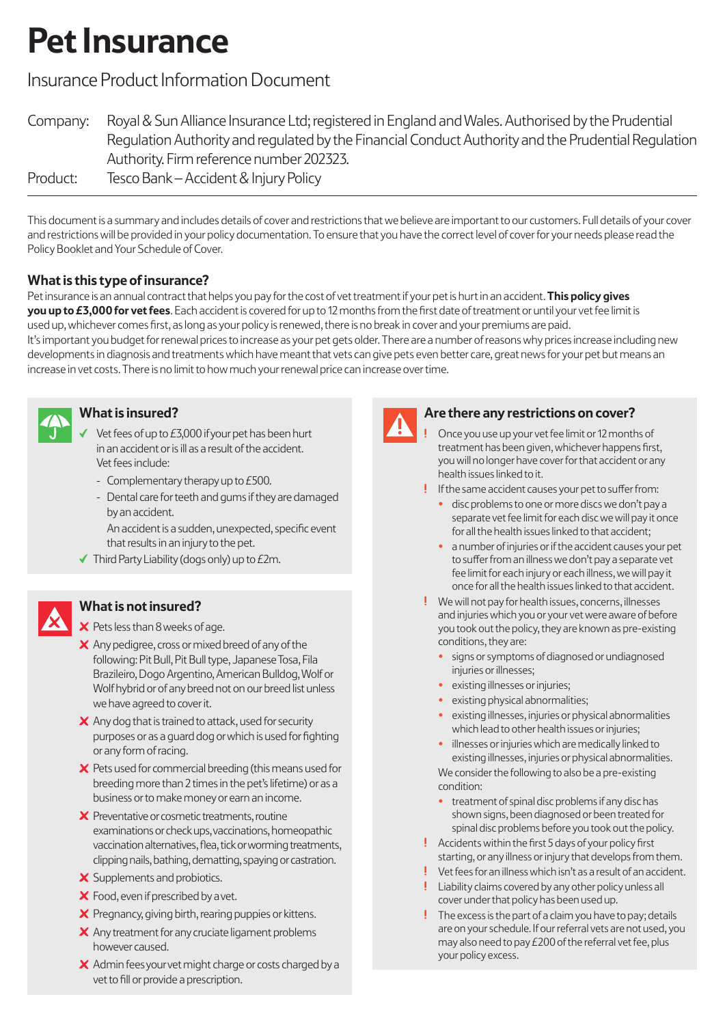# **Pet Insurance**

# Insurance Product Information Document

| Company: | Royal & Sun Alliance Insurance Ltd; registered in England and Wales. Authorised by the Prudential   |
|----------|-----------------------------------------------------------------------------------------------------|
|          | Regulation Authority and regulated by the Financial Conduct Authority and the Prudential Regulation |
|          | Authority. Firm reference number 202323.                                                            |
| Product: | Tesco Bank – Accident & Injury Policy                                                               |

This document is a summary and includes details of cover and restrictions that we believe are important to our customers. Full details of your cover and restrictions will be provided in your policy documentation. To ensure that you have the correct level of cover for your needs please read the Policy Booklet and Your Schedule of Cover.

# **What is this type of insurance?**

Pet insurance is an annual contract that helps you pay for the cost of vet treatment if your pet is hurt in an accident. **This policy gives you up to £3,000 for vet fees**. Each accident is covered for up to 12 months from the first date of treatment or until your vet fee limit is used up, whichever comes first, as long as your policy is renewed, there is no break in cover and your premiums are paid.

It's important you budget for renewal prices to increase as your pet gets older. There are a number of reasons why prices increase including new developments in diagnosis and treatments which have meant that vets can give pets even better care, great news for your pet but means an increase in vet costs. There is no limit to how much your renewal price can increase over time.



# **What is insured?**

- Vet fees of up to £3,000 if your pet has been hurt in an accident or is ill as a result of the accident. Vet fees include:
- Complementary therapy up to £500.
- Dental care for teeth and gums if they are damaged by an accident.

 An accident is a sudden, unexpected, specific event that results in an injury to the pet.

 $\blacktriangledown$  Third Party Liability (dogs only) up to £2m.

## **What is not insured?**

 $\times$  Pets less than 8 weeks of age.

- X Any pedigree, cross or mixed breed of any of the following: Pit Bull, Pit Bull type, Japanese Tosa, Fila Brazileiro, Dogo Argentino, American Bulldog, Wolf or Wolf hybrid or of any breed not on our breed list unless we have agreed to cover it.
- $\boldsymbol{\times}$  Any dog that is trained to attack, used for security purposes or as a guard dog orwhich is used for fighting or any form of racing.
- $\boldsymbol{\times}$  Pets used for commercial breeding (this means used for breeding more than 2 times in the pet's lifetime) or as a business or to make money or earn an income.
- $\boldsymbol{\times}$  Preventative or cosmetic treatments, routine examinations or check ups, vaccinations, homeopathic vaccination alternatives, flea, tick or worming treatments, clipping nails, bathing, dematting, spaying or castration.
- $\boldsymbol{\times}$  Supplements and probiotics.
- X Food, even if prescribed by a vet.
- $\times$  Pregnancy, giving birth, rearing puppies or kittens.
- $\times$  Any treatment for any cruciate ligament problems however caused.
- X Admin fees your vet might charge or costs charged by a vet to fill or provide a prescription.



#### **Are there any restrictions on cover?**

- Once you use up your vet fee limit or 12 months of treatment has been given, whichever happens first, you will no longer have cover for that accident or any health issues linked to it.
- If the same accident causes your pet to suffer from:
	- disc problems to one or more discs we don't pay a separate vet fee limit for each disc we will pay it once for all the health issues linked to that accident;
	- a number of injuries or if the accident causes your pet to suffer from an illness we don't pay a separate vet fee limit for each injury or each illness, we will pay it once for all the health issues linked to that accident.
- We will not pay for health issues, concerns, illnesses and injuries which you or your vet were aware of before you took out the policy, they are known as pre-existing conditions, they are:
	- signs or symptoms of diagnosed or undiagnosed injuries or illnesses;
	- existing illnesses or injuries;
	- existing physical abnormalities;
	- existing illnesses, injuries or physical abnormalities which lead to other health issues or injuries;
	- illnesses or injuries which are medically linked to existing illnesses, injuries or physical abnormalities. We consider the following to also be a pre-existing condition:
	- treatment of spinal disc problems if any disc has shown signs, been diagnosed or been treated for spinal disc problems before you took out the policy.
- Accidents within the first 5 days of your policy first starting, or any illness or injury that develops from them.
- $!$  Vet fees for an illness which isn't as a result of an accident.
- . Liability claims covered by any other policy unless all cover under that policy has been used up.
- The excess is the part of a claim you have to pay; details are on your schedule. If our referral vets are not used, you may also need to pay £200 of the referral vet fee, plus your policy excess.